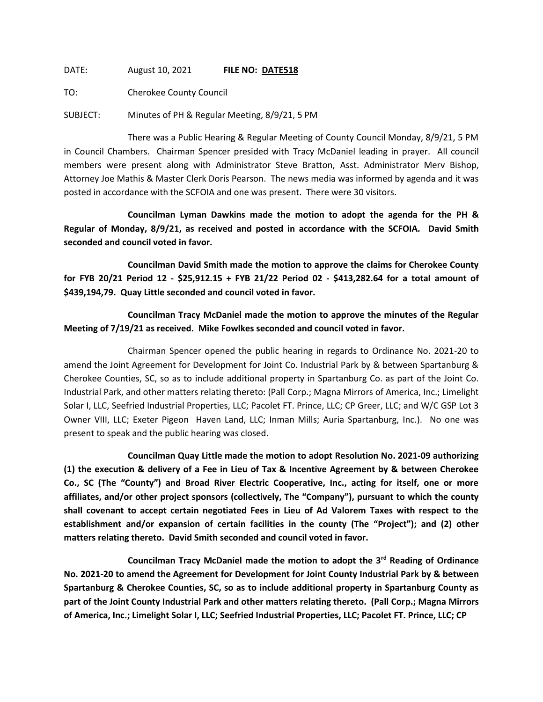DATE: August 10, 2021 **FILE NO: DATE518**

TO: Cherokee County Council

SUBJECT: Minutes of PH & Regular Meeting, 8/9/21, 5 PM

There was a Public Hearing & Regular Meeting of County Council Monday, 8/9/21, 5 PM in Council Chambers. Chairman Spencer presided with Tracy McDaniel leading in prayer. All council members were present along with Administrator Steve Bratton, Asst. Administrator Merv Bishop, Attorney Joe Mathis & Master Clerk Doris Pearson. The news media was informed by agenda and it was posted in accordance with the SCFOIA and one was present. There were 30 visitors.

**Councilman Lyman Dawkins made the motion to adopt the agenda for the PH & Regular of Monday, 8/9/21, as received and posted in accordance with the SCFOIA. David Smith seconded and council voted in favor.**

**Councilman David Smith made the motion to approve the claims for Cherokee County for FYB 20/21 Period 12 - \$25,912.15 + FYB 21/22 Period 02 - \$413,282.64 for a total amount of \$439,194,79. Quay Little seconded and council voted in favor.**

**Councilman Tracy McDaniel made the motion to approve the minutes of the Regular Meeting of 7/19/21 as received. Mike Fowlkes seconded and council voted in favor.**

Chairman Spencer opened the public hearing in regards to Ordinance No. 2021-20 to amend the Joint Agreement for Development for Joint Co. Industrial Park by & between Spartanburg & Cherokee Counties, SC, so as to include additional property in Spartanburg Co. as part of the Joint Co. Industrial Park, and other matters relating thereto: (Pall Corp.; Magna Mirrors of America, Inc.; Limelight Solar I, LLC, Seefried Industrial Properties, LLC; Pacolet FT. Prince, LLC; CP Greer, LLC; and W/C GSP Lot 3 Owner VIII, LLC; Exeter Pigeon Haven Land, LLC; Inman Mills; Auria Spartanburg, Inc.). No one was present to speak and the public hearing was closed.

**Councilman Quay Little made the motion to adopt Resolution No. 2021-09 authorizing (1) the execution & delivery of a Fee in Lieu of Tax & Incentive Agreement by & between Cherokee Co., SC (The "County") and Broad River Electric Cooperative, Inc., acting for itself, one or more affiliates, and/or other project sponsors (collectively, The "Company"), pursuant to which the county shall covenant to accept certain negotiated Fees in Lieu of Ad Valorem Taxes with respect to the establishment and/or expansion of certain facilities in the county (The "Project"); and (2) other matters relating thereto. David Smith seconded and council voted in favor.**

**Councilman Tracy McDaniel made the motion to adopt the 3rd Reading of Ordinance No. 2021-20 to amend the Agreement for Development for Joint County Industrial Park by & between Spartanburg & Cherokee Counties, SC, so as to include additional property in Spartanburg County as part of the Joint County Industrial Park and other matters relating thereto. (Pall Corp.; Magna Mirrors of America, Inc.; Limelight Solar I, LLC; Seefried Industrial Properties, LLC; Pacolet FT. Prince, LLC; CP**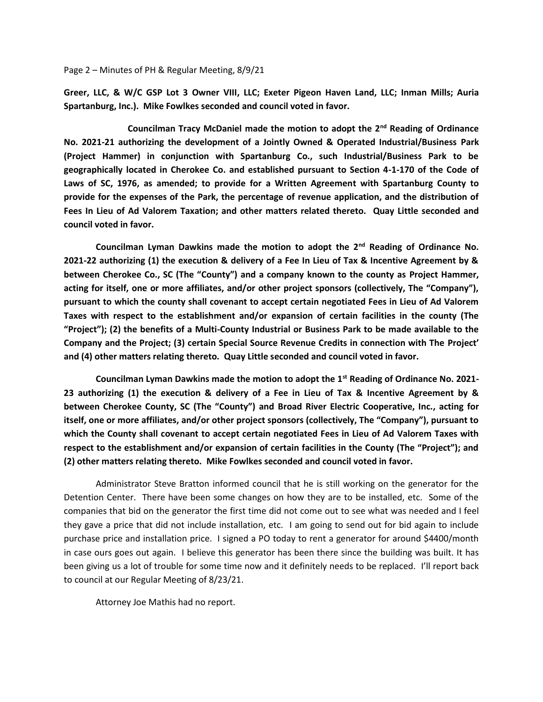## Page 2 – Minutes of PH & Regular Meeting, 8/9/21

**Greer, LLC, & W/C GSP Lot 3 Owner VIII, LLC; Exeter Pigeon Haven Land, LLC; Inman Mills; Auria Spartanburg, Inc.). Mike Fowlkes seconded and council voted in favor.**

**Councilman Tracy McDaniel made the motion to adopt the 2nd Reading of Ordinance No. 2021-21 authorizing the development of a Jointly Owned & Operated Industrial/Business Park (Project Hammer) in conjunction with Spartanburg Co., such Industrial/Business Park to be geographically located in Cherokee Co. and established pursuant to Section 4-1-170 of the Code of Laws of SC, 1976, as amended; to provide for a Written Agreement with Spartanburg County to provide for the expenses of the Park, the percentage of revenue application, and the distribution of Fees In Lieu of Ad Valorem Taxation; and other matters related thereto. Quay Little seconded and council voted in favor.**

**Councilman Lyman Dawkins made the motion to adopt the 2nd Reading of Ordinance No. 2021-22 authorizing (1) the execution & delivery of a Fee In Lieu of Tax & Incentive Agreement by & between Cherokee Co., SC (The "County") and a company known to the county as Project Hammer, acting for itself, one or more affiliates, and/or other project sponsors (collectively, The "Company"), pursuant to which the county shall covenant to accept certain negotiated Fees in Lieu of Ad Valorem Taxes with respect to the establishment and/or expansion of certain facilities in the county (The "Project"); (2) the benefits of a Multi-County Industrial or Business Park to be made available to the Company and the Project; (3) certain Special Source Revenue Credits in connection with The Project' and (4) other matters relating thereto. Quay Little seconded and council voted in favor.**

**Councilman Lyman Dawkins made the motion to adopt the 1st Reading of Ordinance No. 2021- 23 authorizing (1) the execution & delivery of a Fee in Lieu of Tax & Incentive Agreement by & between Cherokee County, SC (The "County") and Broad River Electric Cooperative, Inc., acting for itself, one or more affiliates, and/or other project sponsors (collectively, The "Company"), pursuant to which the County shall covenant to accept certain negotiated Fees in Lieu of Ad Valorem Taxes with respect to the establishment and/or expansion of certain facilities in the County (The "Project"); and (2) other matters relating thereto. Mike Fowlkes seconded and council voted in favor.**

Administrator Steve Bratton informed council that he is still working on the generator for the Detention Center. There have been some changes on how they are to be installed, etc. Some of the companies that bid on the generator the first time did not come out to see what was needed and I feel they gave a price that did not include installation, etc. I am going to send out for bid again to include purchase price and installation price. I signed a PO today to rent a generator for around \$4400/month in case ours goes out again. I believe this generator has been there since the building was built. It has been giving us a lot of trouble for some time now and it definitely needs to be replaced. I'll report back to council at our Regular Meeting of 8/23/21.

Attorney Joe Mathis had no report.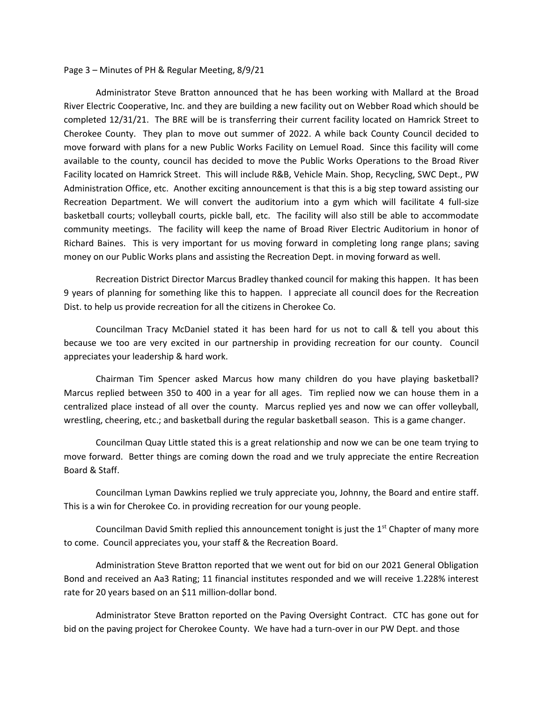## Page 3 – Minutes of PH & Regular Meeting, 8/9/21

Administrator Steve Bratton announced that he has been working with Mallard at the Broad River Electric Cooperative, Inc. and they are building a new facility out on Webber Road which should be completed 12/31/21. The BRE will be is transferring their current facility located on Hamrick Street to Cherokee County. They plan to move out summer of 2022. A while back County Council decided to move forward with plans for a new Public Works Facility on Lemuel Road. Since this facility will come available to the county, council has decided to move the Public Works Operations to the Broad River Facility located on Hamrick Street. This will include R&B, Vehicle Main. Shop, Recycling, SWC Dept., PW Administration Office, etc. Another exciting announcement is that this is a big step toward assisting our Recreation Department. We will convert the auditorium into a gym which will facilitate 4 full-size basketball courts; volleyball courts, pickle ball, etc. The facility will also still be able to accommodate community meetings. The facility will keep the name of Broad River Electric Auditorium in honor of Richard Baines. This is very important for us moving forward in completing long range plans; saving money on our Public Works plans and assisting the Recreation Dept. in moving forward as well.

Recreation District Director Marcus Bradley thanked council for making this happen. It has been 9 years of planning for something like this to happen. I appreciate all council does for the Recreation Dist. to help us provide recreation for all the citizens in Cherokee Co.

Councilman Tracy McDaniel stated it has been hard for us not to call & tell you about this because we too are very excited in our partnership in providing recreation for our county. Council appreciates your leadership & hard work.

Chairman Tim Spencer asked Marcus how many children do you have playing basketball? Marcus replied between 350 to 400 in a year for all ages. Tim replied now we can house them in a centralized place instead of all over the county. Marcus replied yes and now we can offer volleyball, wrestling, cheering, etc.; and basketball during the regular basketball season. This is a game changer.

Councilman Quay Little stated this is a great relationship and now we can be one team trying to move forward. Better things are coming down the road and we truly appreciate the entire Recreation Board & Staff.

Councilman Lyman Dawkins replied we truly appreciate you, Johnny, the Board and entire staff. This is a win for Cherokee Co. in providing recreation for our young people.

Councilman David Smith replied this announcement tonight is just the  $1<sup>st</sup>$  Chapter of many more to come. Council appreciates you, your staff & the Recreation Board.

Administration Steve Bratton reported that we went out for bid on our 2021 General Obligation Bond and received an Aa3 Rating; 11 financial institutes responded and we will receive 1.228% interest rate for 20 years based on an \$11 million-dollar bond.

Administrator Steve Bratton reported on the Paving Oversight Contract. CTC has gone out for bid on the paving project for Cherokee County. We have had a turn-over in our PW Dept. and those